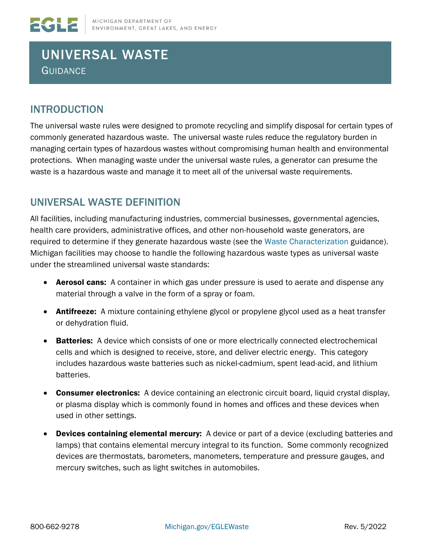# UNIVERSAL WASTE **GUIDANCE**

### INTRODUCTION

The universal waste rules were designed to promote recycling and simplify disposal for certain types of commonly generated hazardous waste. The universal waste rules reduce the regulatory burden in managing certain types of hazardous wastes without compromising human health and environmental protections. When managing waste under the universal waste rules, a generator can presume the waste is a hazardous waste and manage it to meet all of the universal waste requirements.

### UNIVERSAL WASTE DEFINITION

All facilities, including manufacturing industries, commercial businesses, governmental agencies, health care providers, administrative offices, and other non-household waste generators, are required to determine if they generate hazardous waste (see the[Waste Characterization](https://www.michigan.gov/egle/-/media/Project/Websites/egle/Documents/Programs/MMD/Waste-Characterization.pdf) guidance). Michigan facilities may choose to handle the following hazardous waste types as universal waste under the streamlined universal waste standards:

- Aerosol cans: A container in which gas under pressure is used to aerate and dispense any material through a valve in the form of a spray or foam.
- **Antifreeze:** A mixture containing ethylene glycol or propylene glycol used as a heat transfer or dehydration fluid.
- Batteries: A device which consists of one or more electrically connected electrochemical cells and which is designed to receive, store, and deliver electric energy. This category includes hazardous waste batteries such as nickel-cadmium, spent lead-acid, and lithium batteries.
- Consumer electronics: A device containing an electronic circuit board, liquid crystal display, or plasma display which is commonly found in homes and offices and these devices when used in other settings.
- Devices containing elemental mercury: A device or part of a device (excluding batteries and lamps) that contains elemental mercury integral to its function. Some commonly recognized devices are thermostats, barometers, manometers, temperature and pressure gauges, and mercury switches, such as light switches in automobiles.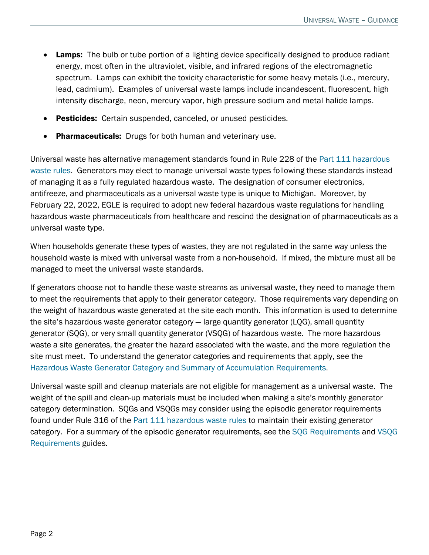- Lamps: The bulb or tube portion of a lighting device specifically designed to produce radiant energy, most often in the ultraviolet, visible, and infrared regions of the electromagnetic spectrum. Lamps can exhibit the toxicity characteristic for some heavy metals (i.e., mercury, lead, cadmium). Examples of universal waste lamps include incandescent, fluorescent, high intensity discharge, neon, mercury vapor, high pressure sodium and metal halide lamps.
- **Pesticides:** Certain suspended, canceled, or unused pesticides.
- **Pharmaceuticals:** Drugs for both human and veterinary use.

Universal waste has alternative management standards found in Rule 228 of the [Part 111 hazardous](https://www.michigan.gov/egle/-/media/Project/Websites/egle/Documents/Laws-Rules/MMD/Part111Rules.pdf)  [waste rules.](https://www.michigan.gov/egle/-/media/Project/Websites/egle/Documents/Laws-Rules/MMD/Part111Rules.pdf) Generators may elect to manage universal waste types following these standards instead of managing it as a fully regulated hazardous waste. The designation of consumer electronics, antifreeze, and pharmaceuticals as a universal waste type is unique to Michigan. Moreover, by February 22, 2022, EGLE is required to adopt new federal hazardous waste regulations for handling hazardous waste pharmaceuticals from healthcare and rescind the designation of pharmaceuticals as a universal waste type.

When households generate these types of wastes, they are not regulated in the same way unless the household waste is mixed with universal waste from a non-household. If mixed, the mixture must all be managed to meet the universal waste standards.

If generators choose not to handle these waste streams as universal waste, they need to manage them to meet the requirements that apply to their generator category. Those requirements vary depending on the weight of hazardous waste generated at the site each month. This information is used to determine the site's hazardous waste generator category — large quantity generator (LQG), small quantity generator (SQG), or very small quantity generator (VSQG) of hazardous waste. The more hazardous waste a site generates, the greater the hazard associated with the waste, and the more regulation the site must meet. To understand the generator categories and requirements that apply, see the [Hazardous Waste Generator Category and Summary of Accumulation Requirements.](https://www.michigan.gov/egle/-/media/Project/Websites/egle/Documents/Programs/MMD/Hazardous-Waste/Hazardous-Waste-Generator-Cagetory-Accumulation-Requirements.pdf)

Universal waste spill and cleanup materials are not eligible for management as a universal waste. The weight of the spill and clean-up materials must be included when making a site's monthly generator category determination. SQGs and VSQGs may consider using the episodic generator requirements found under Rule 316 of the [Part 111 hazardous waste rules](https://www.michigan.gov/egle/-/media/Project/Websites/egle/Documents/Laws-Rules/MMD/Part111Rules.pdf) to maintain their existing generator category. For a summary of the episodic generator requirements, see the [SQG Requirements](https://www.michigan.gov/egle/-/media/Project/Websites/egle/Documents/Programs/MMD/Hazardous-Waste/SQG-requirements.pdf) and [VSQG](https://www.michigan.gov/egle/-/media/Project/Websites/egle/Documents/Programs/MMD/Hazardous-Waste/VSQG-Guidance.pdf)  [Requirements](https://www.michigan.gov/egle/-/media/Project/Websites/egle/Documents/Programs/MMD/Hazardous-Waste/VSQG-Guidance.pdf) guides.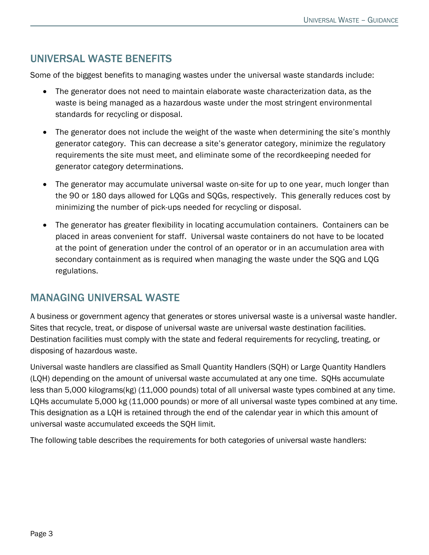# UNIVERSAL WASTE BENEFITS

Some of the biggest benefits to managing wastes under the universal waste standards include:

- The generator does not need to maintain elaborate waste characterization data, as the waste is being managed as a hazardous waste under the most stringent environmental standards for recycling or disposal.
- The generator does not include the weight of the waste when determining the site's monthly generator category. This can decrease a site's generator category, minimize the regulatory requirements the site must meet, and eliminate some of the recordkeeping needed for generator category determinations.
- The generator may accumulate universal waste on-site for up to one year, much longer than the 90 or 180 days allowed for LQGs and SQGs, respectively. This generally reduces cost by minimizing the number of pick-ups needed for recycling or disposal.
- The generator has greater flexibility in locating accumulation containers. Containers can be placed in areas convenient for staff. Universal waste containers do not have to be located at the point of generation under the control of an operator or in an accumulation area with secondary containment as is required when managing the waste under the SQG and LQG regulations.

### MANAGING UNIVERSAL WASTE

A business or government agency that generates or stores universal waste is a universal waste handler. Sites that recycle, treat, or dispose of universal waste are universal waste destination facilities. Destination facilities must comply with the state and federal requirements for recycling, treating, or disposing of hazardous waste.

Universal waste handlers are classified as Small Quantity Handlers (SQH) or Large Quantity Handlers (LQH) depending on the amount of universal waste accumulated at any one time. SQHs accumulate less than 5,000 kilograms(kg) (11,000 pounds) total of all universal waste types combined at any time. LQHs accumulate 5,000 kg (11,000 pounds) or more of all universal waste types combined at any time. This designation as a LQH is retained through the end of the calendar year in which this amount of universal waste accumulated exceeds the SQH limit.

The following table describes the requirements for both categories of universal waste handlers: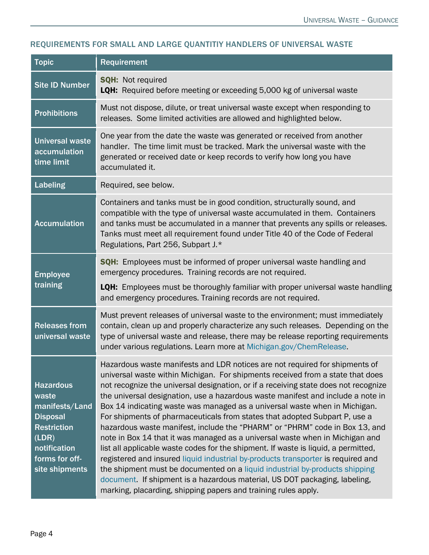#### REQUIREMENTS FOR SMALL AND LARGE QUANTITIY HANDLERS OF UNIVERSAL WASTE

| <b>Topic</b>                                                                                                                                      | Requirement                                                                                                                                                                                                                                                                                                                                                                                                                                                                                                                                                                                                                                                                                                                                                                                                                                                                                                                                                                                                                                                                 |
|---------------------------------------------------------------------------------------------------------------------------------------------------|-----------------------------------------------------------------------------------------------------------------------------------------------------------------------------------------------------------------------------------------------------------------------------------------------------------------------------------------------------------------------------------------------------------------------------------------------------------------------------------------------------------------------------------------------------------------------------------------------------------------------------------------------------------------------------------------------------------------------------------------------------------------------------------------------------------------------------------------------------------------------------------------------------------------------------------------------------------------------------------------------------------------------------------------------------------------------------|
| <b>Site ID Number</b>                                                                                                                             | <b>SQH: Not required</b><br>LQH: Required before meeting or exceeding 5,000 kg of universal waste                                                                                                                                                                                                                                                                                                                                                                                                                                                                                                                                                                                                                                                                                                                                                                                                                                                                                                                                                                           |
| <b>Prohibitions</b>                                                                                                                               | Must not dispose, dilute, or treat universal waste except when responding to<br>releases. Some limited activities are allowed and highlighted below.                                                                                                                                                                                                                                                                                                                                                                                                                                                                                                                                                                                                                                                                                                                                                                                                                                                                                                                        |
| <b>Universal waste</b><br>accumulation<br>time limit                                                                                              | One year from the date the waste was generated or received from another<br>handler. The time limit must be tracked. Mark the universal waste with the<br>generated or received date or keep records to verify how long you have<br>accumulated it.                                                                                                                                                                                                                                                                                                                                                                                                                                                                                                                                                                                                                                                                                                                                                                                                                          |
| <b>Labeling</b>                                                                                                                                   | Required, see below.                                                                                                                                                                                                                                                                                                                                                                                                                                                                                                                                                                                                                                                                                                                                                                                                                                                                                                                                                                                                                                                        |
| <b>Accumulation</b>                                                                                                                               | Containers and tanks must be in good condition, structurally sound, and<br>compatible with the type of universal waste accumulated in them. Containers<br>and tanks must be accumulated in a manner that prevents any spills or releases.<br>Tanks must meet all requirement found under Title 40 of the Code of Federal<br>Regulations, Part 256, Subpart J.*                                                                                                                                                                                                                                                                                                                                                                                                                                                                                                                                                                                                                                                                                                              |
| <b>Employee</b><br>training                                                                                                                       | SQH: Employees must be informed of proper universal waste handling and<br>emergency procedures. Training records are not required.                                                                                                                                                                                                                                                                                                                                                                                                                                                                                                                                                                                                                                                                                                                                                                                                                                                                                                                                          |
|                                                                                                                                                   | LQH: Employees must be thoroughly familiar with proper universal waste handling<br>and emergency procedures. Training records are not required.                                                                                                                                                                                                                                                                                                                                                                                                                                                                                                                                                                                                                                                                                                                                                                                                                                                                                                                             |
| <b>Releases from</b><br>universal waste                                                                                                           | Must prevent releases of universal waste to the environment; must immediately<br>contain, clean up and properly characterize any such releases. Depending on the<br>type of universal waste and release, there may be release reporting requirements<br>under various regulations. Learn more at Michigan.gov/ChemRelease.                                                                                                                                                                                                                                                                                                                                                                                                                                                                                                                                                                                                                                                                                                                                                  |
| <b>Hazardous</b><br>waste<br>manifests/Land<br><b>Disposal</b><br><b>Restriction</b><br>(LDR)<br>notification<br>forms for off-<br>site shipments | Hazardous waste manifests and LDR notices are not required for shipments of<br>universal waste within Michigan. For shipments received from a state that does<br>not recognize the universal designation, or if a receiving state does not recognize<br>the universal designation, use a hazardous waste manifest and include a note in<br>Box 14 indicating waste was managed as a universal waste when in Michigan.<br>For shipments of pharmaceuticals from states that adopted Subpart P, use a<br>hazardous waste manifest, include the "PHARM" or "PHRM" code in Box 13, and<br>note in Box 14 that it was managed as a universal waste when in Michigan and<br>list all applicable waste codes for the shipment. If waste is liquid, a permitted,<br>registered and insured liquid industrial by-products transporter is required and<br>the shipment must be documented on a liquid industrial by-products shipping<br>document. If shipment is a hazardous material, US DOT packaging, labeling,<br>marking, placarding, shipping papers and training rules apply. |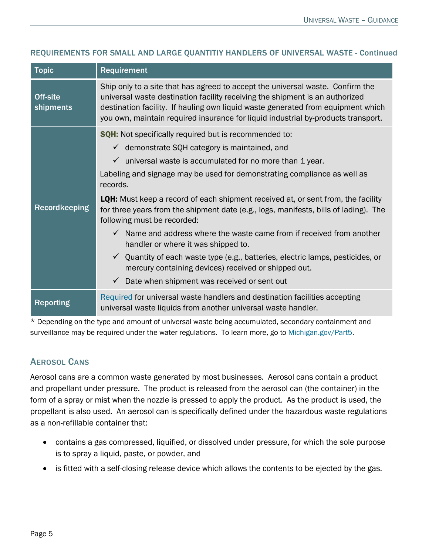| <b>Topic</b>          | Requirement                                                                                                                                                                                                                                                                                                                                                                                                                                                                                                                                                                                                                                                                                                                                                                                                                                               |
|-----------------------|-----------------------------------------------------------------------------------------------------------------------------------------------------------------------------------------------------------------------------------------------------------------------------------------------------------------------------------------------------------------------------------------------------------------------------------------------------------------------------------------------------------------------------------------------------------------------------------------------------------------------------------------------------------------------------------------------------------------------------------------------------------------------------------------------------------------------------------------------------------|
| Off-site<br>shipments | Ship only to a site that has agreed to accept the universal waste. Confirm the<br>universal waste destination facility receiving the shipment is an authorized<br>destination facility. If hauling own liquid waste generated from equipment which<br>you own, maintain required insurance for liquid industrial by-products transport.                                                                                                                                                                                                                                                                                                                                                                                                                                                                                                                   |
| <b>Recordkeeping</b>  | <b>SQH:</b> Not specifically required but is recommended to:<br>$\checkmark$ demonstrate SQH category is maintained, and<br>$\checkmark$ universal waste is accumulated for no more than 1 year.<br>Labeling and signage may be used for demonstrating compliance as well as<br>records.<br><b>LQH:</b> Must keep a record of each shipment received at, or sent from, the facility<br>for three years from the shipment date (e.g., logs, manifests, bills of lading). The<br>following must be recorded:<br>$\checkmark$ Name and address where the waste came from if received from another<br>handler or where it was shipped to.<br>$\checkmark$ Quantity of each waste type (e.g., batteries, electric lamps, pesticides, or<br>mercury containing devices) received or shipped out.<br>Date when shipment was received or sent out<br>$\checkmark$ |
| <b>Reporting</b>      | Required for universal waste handlers and destination facilities accepting<br>universal waste liquids from another universal waste handler.                                                                                                                                                                                                                                                                                                                                                                                                                                                                                                                                                                                                                                                                                                               |

#### REQUIREMENTS FOR SMALL AND LARGE QUANTITIY HANDLERS OF UNIVERSAL WASTE - Continued

\* Depending on the type and amount of universal waste being accumulated, secondary containment and surveillance may be required under the water regulations. To learn more, go to [Michigan.gov/Part5.](http://www.michigan.gov/Part5)

#### AEROSOL CANS

Aerosol cans are a common waste generated by most businesses. Aerosol cans contain a product and propellant under pressure. The product is released from the aerosol can (the container) in the form of a spray or mist when the nozzle is pressed to apply the product. As the product is used, the propellant is also used. An aerosol can is specifically defined under the hazardous waste regulations as a non-refillable container that:

- contains a gas compressed, liquified, or dissolved under pressure, for which the sole purpose is to spray a liquid, paste, or powder, and
- is fitted with a self-closing release device which allows the contents to be ejected by the gas.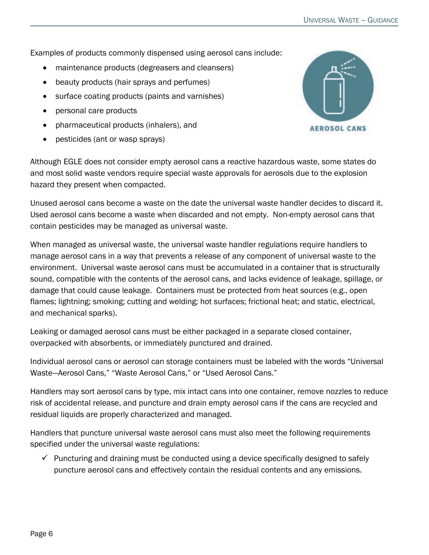Examples of products commonly dispensed using aerosol cans include:

- maintenance products (degreasers and cleansers)
- beauty products (hair sprays and perfumes)
- surface coating products (paints and varnishes)
- personal care products
- pharmaceutical products (inhalers), and
- pesticides (ant or wasp sprays)



Although EGLE does not consider empty aerosol cans a reactive hazardous waste, some states do and most solid waste vendors require special waste approvals for aerosols due to the explosion hazard they present when compacted.

Unused aerosol cans become a waste on the date the universal waste handler decides to discard it. Used aerosol cans become a waste when discarded and not empty. Non-empty aerosol cans that contain pesticides may be managed as universal waste.

When managed as universal waste, the universal waste handler regulations require handlers to manage aerosol cans in a way that prevents a release of any component of universal waste to the environment. Universal waste aerosol cans must be accumulated in a container that is structurally sound, compatible with the contents of the aerosol cans, and lacks evidence of leakage, spillage, or damage that could cause leakage. Containers must be protected from heat sources (e.g., open flames; lightning; smoking; cutting and welding; hot surfaces; frictional heat; and static, electrical, and mechanical sparks).

Leaking or damaged aerosol cans must be either packaged in a separate closed container, overpacked with absorbents, or immediately punctured and drained.

Individual aerosol cans or aerosol can storage containers must be labeled with the words "Universal Waste—Aerosol Cans," "Waste Aerosol Cans," or "Used Aerosol Cans."

Handlers may sort aerosol cans by type, mix intact cans into one container, remove nozzles to reduce risk of accidental release, and puncture and drain empty aerosol cans if the cans are recycled and residual liquids are properly characterized and managed.

Handlers that puncture universal waste aerosol cans must also meet the following requirements specified under the universal waste regulations:

 $\checkmark$  Puncturing and draining must be conducted using a device specifically designed to safely puncture aerosol cans and effectively contain the residual contents and any emissions.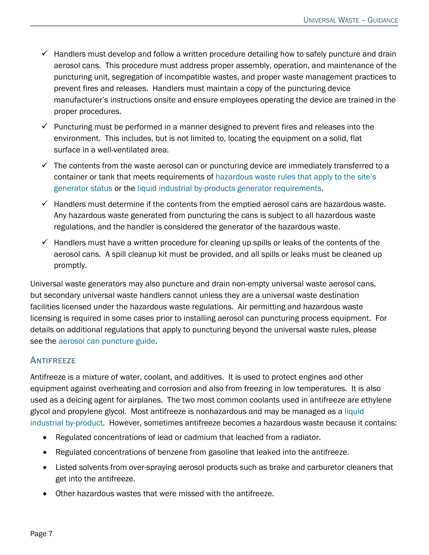- $\checkmark$  Handlers must develop and follow a written procedure detailing how to safely puncture and drain aerosol cans. This procedure must address proper assembly, operation, and maintenance of the puncturing unit, segregation of incompatible wastes, and proper waste management practices to prevent fires and releases. Handlers must maintain a copy of the puncturing device manufacturer's instructions onsite and ensure employees operating the device are trained in the proper procedures.
- $\checkmark$  Puncturing must be performed in a manner designed to prevent fires and releases into the environment. This includes, but is not limited to, locating the equipment on a solid, flat surface in a well-ventilated area.
- $\checkmark$  The contents from the waste aerosol can or puncturing device are immediately transferred to a container or tank that meets requirements of [hazardous waste rules that apply to the site's](https://www.michigan.gov/egle/-/media/Project/Websites/egle/Documents/Programs/MMD/Hazardous-Waste/Hazardous-Waste-Generator-Cagetory-Accumulation-Requirements.pdf)  [generator status](https://www.michigan.gov/egle/-/media/Project/Websites/egle/Documents/Programs/MMD/Hazardous-Waste/Hazardous-Waste-Generator-Cagetory-Accumulation-Requirements.pdf) or the [liquid industrial by-products generator requirements.](https://www.michigan.gov/egle/-/media/Project/Websites/egle/Documents/Programs/MMD/LIB/LIB-Generator-Guidance.pdf)
- $\checkmark$  Handlers must determine if the contents from the emptied aerosol cans are hazardous waste. Any hazardous waste generated from puncturing the cans is subject to all hazardous waste regulations, and the handler is considered the generator of the hazardous waste.
- $\checkmark$  Handlers must have a written procedure for cleaning up spills or leaks of the contents of the aerosol cans. A spill cleanup kit must be provided, and all spills or leaks must be cleaned up promptly.

Universal waste generators may also puncture and drain non-empty universal waste aerosol cans, but secondary universal waste handlers cannot unless they are a universal waste destination facilities licensed under the hazardous waste regulations. Air permitting and hazardous waste licensing is required in some cases prior to installing aerosol can puncturing process equipment. For details on additional regulations that apply to puncturing beyond the universal waste rules, please see the [aerosol can puncture guide.](https://www.michigan.gov/egle/-/media/Project/Websites/egle/Documents/Programs/MMD/Hazardous-Waste/Aerosol-Can-Recycling-System.pdf)

#### **ANTIFREEZE**

Antifreeze is a mixture of water, coolant, and additives. It is used to protect engines and other equipment against overheating and corrosion and also from freezing in low temperatures. It is also used as a deicing agent for airplanes. The two most common coolants used in antifreeze are ethylene glycol and propylene glycol. Most antifreeze is nonhazardous and may be managed as a [liquid](https://www.michigan.gov/egle/-/media/Project/Websites/egle/Documents/Programs/MMD/LIB/LIB-Generator-Guidance.pdf)  [industrial by-product.](https://www.michigan.gov/egle/-/media/Project/Websites/egle/Documents/Programs/MMD/LIB/LIB-Generator-Guidance.pdf) However, sometimes antifreeze becomes a hazardous waste because it contains:

- Regulated concentrations of lead or cadmium that leached from a radiator.
- Regulated concentrations of benzene from gasoline that leaked into the antifreeze.
- Listed solvents from over-spraying aerosol products such as brake and carburetor cleaners that get into the antifreeze.
- Other hazardous wastes that were missed with the antifreeze.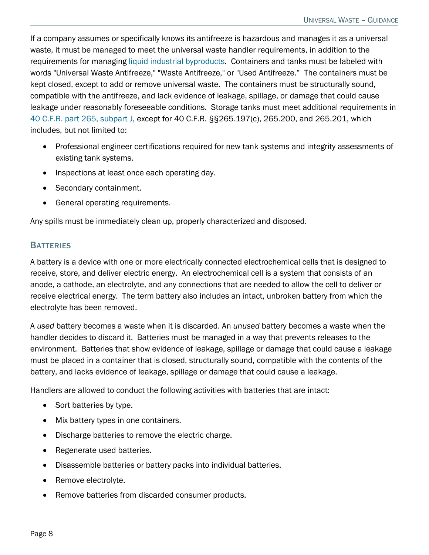If a company assumes or specifically knows its antifreeze is hazardous and manages it as a universal waste, it must be managed to meet the universal waste handler requirements, in addition to the requirements for managing [liquid industrial byproducts.](https://www.michigan.gov/egle/-/media/Project/Websites/egle/Documents/Programs/MMD/LIB/LIB-Generator-Guidance.pdf) Containers and tanks must be labeled with words "Universal Waste Antifreeze," "Waste Antifreeze," or "Used Antifreeze." The containers must be kept closed, except to add or remove universal waste. The containers must be structurally sound, compatible with the antifreeze, and lack evidence of leakage, spillage, or damage that could cause leakage under reasonably foreseeable conditions. Storage tanks must meet additional requirements in [40 C.F.R. part 265, subpart J,](https://www.ecfr.gov/cgi-bin/text-idx?node=sp40.28.265.j&rgn=div6) except for 40 C.F.R. §§265.197(c), 265.200, and 265.201, which includes, but not limited to:

- Professional engineer certifications required for new tank systems and integrity assessments of existing tank systems.
- Inspections at least once each operating day.
- Secondary containment.
- General operating requirements.

Any spills must be immediately clean up, properly characterized and disposed.

#### **BATTERIES**

A battery is a device with one or more electrically connected electrochemical cells that is designed to receive, store, and deliver electric energy. An electrochemical cell is a system that consists of an anode, a cathode, an electrolyte, and any connections that are needed to allow the cell to deliver or receive electrical energy. The term battery also includes an intact, unbroken battery from which the electrolyte has been removed.

A *used* battery becomes a waste when it is discarded. An *unused* battery becomes a waste when the handler decides to discard it. Batteries must be managed in a way that prevents releases to the environment. Batteries that show evidence of leakage, spillage or damage that could cause a leakage must be placed in a container that is closed, structurally sound, compatible with the contents of the battery, and lacks evidence of leakage, spillage or damage that could cause a leakage.

Handlers are allowed to conduct the following activities with batteries that are intact:

- Sort batteries by type.
- Mix battery types in one containers.
- Discharge batteries to remove the electric charge.
- Regenerate used batteries.
- Disassemble batteries or battery packs into individual batteries.
- Remove electrolyte.
- Remove batteries from discarded consumer products.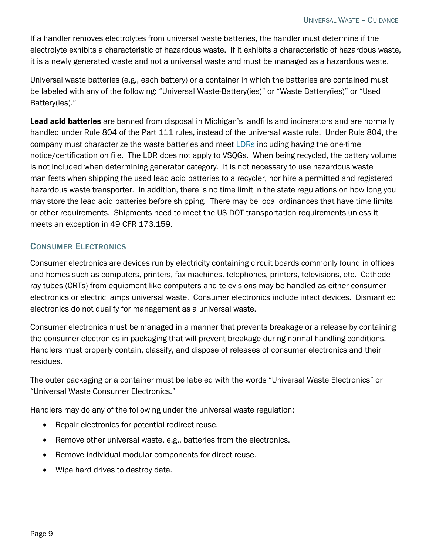If a handler removes electrolytes from universal waste batteries, the handler must determine if the electrolyte exhibits a characteristic of hazardous waste. If it exhibits a characteristic of hazardous waste, it is a newly generated waste and not a universal waste and must be managed as a hazardous waste.

Universal waste batteries (e.g., each battery) or a container in which the batteries are contained must be labeled with any of the following: "Universal Waste-Battery(ies)" or "Waste Battery(ies)" or "Used Battery(ies)."

Lead acid batteries are banned from disposal in Michigan's landfills and incinerators and are normally handled under Rule 804 of the Part 111 rules, instead of the universal waste rule. Under Rule 804, the company must characterize the waste batteries and meet [LDRs](https://www.michigan.gov/documents/deq/deq-oea-wastecharacterization-ch4_498088_7.pdf) including having the one-time notice/certification on file. The LDR does not apply to VSQGs. When being recycled, the battery volume is not included when determining generator category. It is not necessary to use hazardous waste manifests when shipping the used lead acid batteries to a recycler, nor hire a permitted and registered hazardous waste transporter. In addition, there is no time limit in the state regulations on how long you may store the lead acid batteries before shipping. There may be local ordinances that have time limits or other requirements. Shipments need to meet the US DOT transportation requirements unless it meets an exception in 49 CFR 173.159.

#### CONSUMER ELECTRONICS

Consumer electronics are devices run by electricity containing circuit boards commonly found in offices and homes such as computers, printers, fax machines, telephones, printers, televisions, etc. Cathode ray tubes (CRTs) from equipment like computers and televisions may be handled as either consumer electronics or electric lamps universal waste. Consumer electronics include intact devices. Dismantled electronics do not qualify for management as a universal waste.

Consumer electronics must be managed in a manner that prevents breakage or a release by containing the consumer electronics in packaging that will prevent breakage during normal handling conditions. Handlers must properly contain, classify, and dispose of releases of consumer electronics and their residues.

The outer packaging or a container must be labeled with the words "Universal Waste Electronics" or "Universal Waste Consumer Electronics."

Handlers may do any of the following under the universal waste regulation:

- Repair electronics for potential redirect reuse.
- Remove other universal waste, e.g., batteries from the electronics.
- Remove individual modular components for direct reuse.
- Wipe hard drives to destroy data.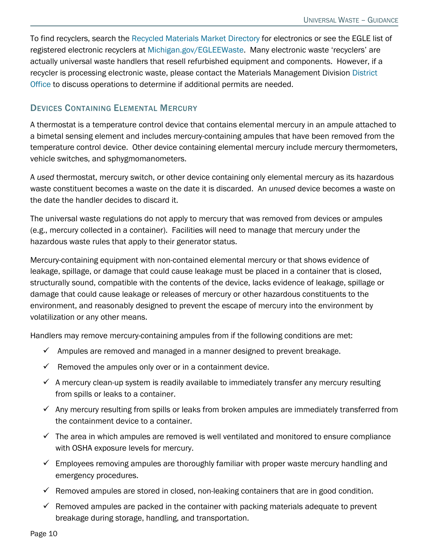To find recyclers, search the [Recycled Materials Market Directory](https://www.michigan.gov/egle/about/organization/Materials-Management/Recycling/recycled-material-market-directory) for electronics or see the EGLE list of registered electronic recyclers at [Michigan.gov/EGLEEWaste.](http://www.michigan.gov/EGLEEwaste) Many electronic waste 'recyclers' are actually universal waste handlers that resell refurbished equipment and components. However, if a recycler is processing electronic waste, please contact the Materials Management Division [District](http://www.michigan.gov/deq/0%2C1607%2C7-135-3306_3329-12306--%2C00.html)  [Office t](http://www.michigan.gov/deq/0%2C1607%2C7-135-3306_3329-12306--%2C00.html)o discuss operations to determine if additional permits are needed.

#### DEVICES CONTAINING ELEMENTAL MERCURY

A thermostat is a temperature control device that contains elemental mercury in an ampule attached to a bimetal sensing element and includes mercury-containing ampules that have been removed from the temperature control device. Other device containing elemental mercury include mercury thermometers, vehicle switches, and sphygmomanometers.

A *used* thermostat, mercury switch, or other device containing only elemental mercury as its hazardous waste constituent becomes a waste on the date it is discarded. An *unused* device becomes a waste on the date the handler decides to discard it.

The universal waste regulations do not apply to mercury that was removed from devices or ampules (e.g., mercury collected in a container). Facilities will need to manage that mercury under the hazardous waste rules that apply to their generator status.

Mercury-containing equipment with non-contained elemental mercury or that shows evidence of leakage, spillage, or damage that could cause leakage must be placed in a container that is closed, structurally sound, compatible with the contents of the device, lacks evidence of leakage, spillage or damage that could cause leakage or releases of mercury or other hazardous constituents to the environment, and reasonably designed to prevent the escape of mercury into the environment by volatilization or any other means.

Handlers may remove mercury-containing ampules from if the following conditions are met:

- $\checkmark$  Ampules are removed and managed in a manner designed to prevent breakage.
- $\checkmark$  Removed the ampules only over or in a containment device.
- $\checkmark$  A mercury clean-up system is readily available to immediately transfer any mercury resulting from spills or leaks to a container.
- $\checkmark$  Any mercury resulting from spills or leaks from broken ampules are immediately transferred from the containment device to a container.
- $\checkmark$  The area in which ampules are removed is well ventilated and monitored to ensure compliance with OSHA exposure levels for mercury.
- $\checkmark$  Employees removing ampules are thoroughly familiar with proper waste mercury handling and emergency procedures.
- $\checkmark$  Removed ampules are stored in closed, non-leaking containers that are in good condition.
- $\checkmark$  Removed ampules are packed in the container with packing materials adequate to prevent breakage during storage, handling, and transportation.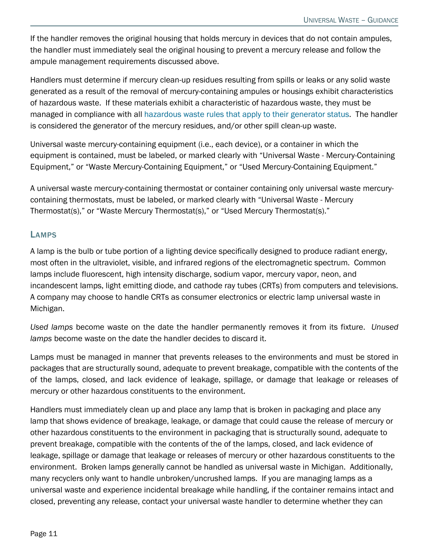If the handler removes the original housing that holds mercury in devices that do not contain ampules, the handler must immediately seal the original housing to prevent a mercury release and follow the ampule management requirements discussed above.

Handlers must determine if mercury clean-up residues resulting from spills or leaks or any solid waste generated as a result of the removal of mercury-containing ampules or housings exhibit characteristics of hazardous waste. If these materials exhibit a characteristic of hazardous waste, they must be managed in compliance with all [hazardous waste rules that apply to their generator status.](https://www.michigan.gov/egle/-/media/Project/Websites/egle/Documents/Programs/MMD/Hazardous-Waste/Hazardous-Waste-Generator-Cagetory-Accumulation-Requirements.pdf) The handler is considered the generator of the mercury residues, and/or other spill clean-up waste.

Universal waste mercury-containing equipment (i.e., each device), or a container in which the equipment is contained, must be labeled, or marked clearly with "Universal Waste - Mercury-Containing Equipment," or "Waste Mercury-Containing Equipment," or "Used Mercury-Containing Equipment."

A universal waste mercury-containing thermostat or container containing only universal waste mercurycontaining thermostats, must be labeled, or marked clearly with "Universal Waste - Mercury Thermostat(s)," or "Waste Mercury Thermostat(s)," or "Used Mercury Thermostat(s)."

#### LAMPS

A lamp is the bulb or tube portion of a lighting device specifically designed to produce radiant energy, most often in the ultraviolet, visible, and infrared regions of the electromagnetic spectrum. Common lamps include fluorescent, high intensity discharge, sodium vapor, mercury vapor, neon, and incandescent lamps, light emitting diode, and cathode ray tubes (CRTs) from computers and televisions. A company may choose to handle CRTs as consumer electronics or electric lamp universal waste in Michigan.

*Used lamps* become waste on the date the handler permanently removes it from its fixture. *Unused lamps* become waste on the date the handler decides to discard it.

Lamps must be managed in manner that prevents releases to the environments and must be stored in packages that are structurally sound, adequate to prevent breakage, compatible with the contents of the of the lamps, closed, and lack evidence of leakage, spillage, or damage that leakage or releases of mercury or other hazardous constituents to the environment.

Handlers must immediately clean up and place any lamp that is broken in packaging and place any lamp that shows evidence of breakage, leakage, or damage that could cause the release of mercury or other hazardous constituents to the environment in packaging that is structurally sound, adequate to prevent breakage, compatible with the contents of the of the lamps, closed, and lack evidence of leakage, spillage or damage that leakage or releases of mercury or other hazardous constituents to the environment. Broken lamps generally cannot be handled as universal waste in Michigan. Additionally, many recyclers only want to handle unbroken/uncrushed lamps. If you are managing lamps as a universal waste and experience incidental breakage while handling, if the container remains intact and closed, preventing any release, contact your universal waste handler to determine whether they can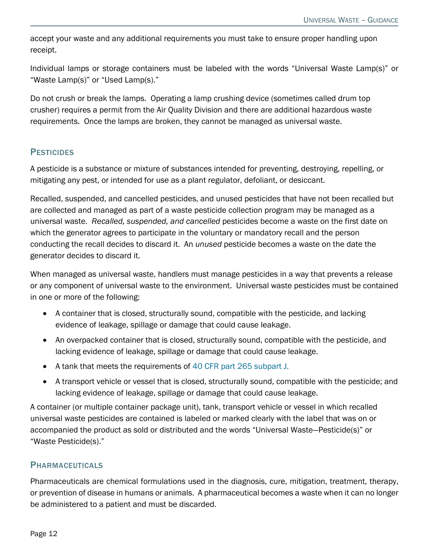accept your waste and any additional requirements you must take to ensure proper handling upon receipt.

Individual lamps or storage containers must be labeled with the words "Universal Waste Lamp(s)" or "Waste Lamp(s)" or "Used Lamp(s)."

Do not crush or break the lamps. Operating a lamp crushing device (sometimes called drum top crusher) requires a permit from the Air Quality Division and there are additional hazardous waste requirements. Once the lamps are broken, they cannot be managed as universal waste.

#### **PESTICIDES**

A pesticide is a substance or mixture of substances intended for preventing, destroying, repelling, or mitigating any pest, or intended for use as a plant regulator, defoliant, or desiccant.

Recalled, suspended, and cancelled pesticides, and unused pesticides that have not been recalled but are collected and managed as part of a waste pesticide collection program may be managed as a universal waste. *Recalled, suspended, and cancelled* pesticides become a waste on the first date on which the generator agrees to participate in the voluntary or mandatory recall and the person conducting the recall decides to discard it. An *unused* pesticide becomes a waste on the date the generator decides to discard it.

When managed as universal waste, handlers must manage pesticides in a way that prevents a release or any component of universal waste to the environment. Universal waste pesticides must be contained in one or more of the following:

- A container that is closed, structurally sound, compatible with the pesticide, and lacking evidence of leakage, spillage or damage that could cause leakage.
- An overpacked container that is closed, structurally sound, compatible with the pesticide, and lacking evidence of leakage, spillage or damage that could cause leakage.
- A tank that meets the requirements of [40 CFR part 265 subpart J.](https://www.ecfr.gov/cgi-bin/text-idx?node=sp40.28.265.j&rgn=div6)
- A transport vehicle or vessel that is closed, structurally sound, compatible with the pesticide; and lacking evidence of leakage, spillage or damage that could cause leakage.

A container (or multiple container package unit), tank, transport vehicle or vessel in which recalled universal waste pesticides are contained is labeled or marked clearly with the label that was on or accompanied the product as sold or distributed and the words "Universal Waste—Pesticide(s)" or "Waste Pesticide(s)."

#### PHARMACEUTICALS

Pharmaceuticals are chemical formulations used in the diagnosis, cure, mitigation, treatment, therapy, or prevention of disease in humans or animals. A pharmaceutical becomes a waste when it can no longer be administered to a patient and must be discarded.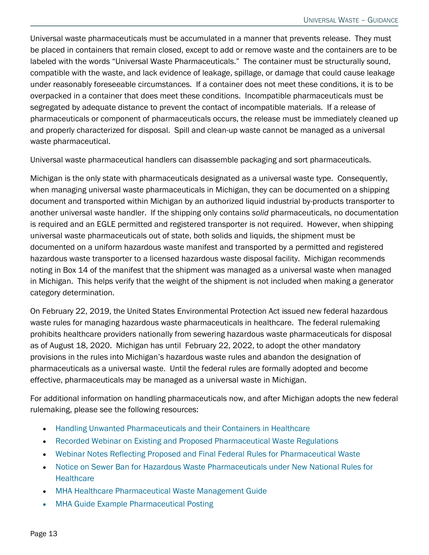Universal waste pharmaceuticals must be accumulated in a manner that prevents release. They must be placed in containers that remain closed, except to add or remove waste and the containers are to be labeled with the words "Universal Waste Pharmaceuticals." The container must be structurally sound, compatible with the waste, and lack evidence of leakage, spillage, or damage that could cause leakage under reasonably foreseeable circumstances. If a container does not meet these conditions, it is to be overpacked in a container that does meet these conditions. Incompatible pharmaceuticals must be segregated by adequate distance to prevent the contact of incompatible materials. If a release of pharmaceuticals or component of pharmaceuticals occurs, the release must be immediately cleaned up and properly characterized for disposal. Spill and clean-up waste cannot be managed as a universal waste pharmaceutical.

Universal waste pharmaceutical handlers can disassemble packaging and sort pharmaceuticals.

Michigan is the only state with pharmaceuticals designated as a universal waste type. Consequently, when managing universal waste pharmaceuticals in Michigan, they can be documented on a shipping document and transported within Michigan by an authorized liquid industrial by-products transporter to another universal waste handler. If the shipping only contains *solid* pharmaceuticals, no documentation is required and an EGLE permitted and registered transporter is not required. However, when shipping universal waste pharmaceuticals out of state, both solids and liquids, the shipment must be documented on a uniform hazardous waste manifest and transported by a permitted and registered hazardous waste transporter to a licensed hazardous waste disposal facility. Michigan recommends noting in Box 14 of the manifest that the shipment was managed as a universal waste when managed in Michigan. This helps verify that the weight of the shipment is not included when making a generator category determination.

On February 22, 2019, the United States Environmental Protection Act issued new federal hazardous waste rules for managing hazardous waste pharmaceuticals in healthcare. The federal rulemaking prohibits healthcare providers nationally from sewering hazardous waste pharmaceuticals for disposal as of August 18, 2020. Michigan has until February 22, 2022, to adopt the other mandatory provisions in the rules into Michigan's hazardous waste rules and abandon the designation of pharmaceuticals as a universal waste. Until the federal rules are formally adopted and become effective, pharmaceuticals may be managed as a universal waste in Michigan.

For additional information on handling pharmaceuticals now, and after Michigan adopts the new federal rulemaking, please see the following resources:

- [Handling Unwanted Pharmaceuticals and their Containers in Healthcare](https://www.michigan.gov/egle/-/media/Project/Websites/egle/Documents/Programs/MMD/Drug-Disposal/Handling-Unwanted-Pharmaceuticals.pdf)
- [Recorded Webinar on Existing and Proposed Pharmaceutical Waste Regulations](https://register.gotowebinar.com/recording/8756799053229005060)
- [Webinar Notes Reflecting Proposed and Final Federal Rules for Pharmaceutical Waste](https://www.michigan.gov/egle/-/media/Project/Websites/egle/Documents/Events/Waste-Series/notes-PharmWaste.pdf)
- [Notice on Sewer Ban for Hazardous Waste Pharmaceuticals under New National Rules for](https://www.michigan.gov/opioids/nel/panel-news/news/new-national-rules-for-healthcare-governing-pharmaceutical-disposal-start-august-21-2019)  **Healthcare**
- [MHA Healthcare Pharmaceutical Waste Management Guide](https://www.michigan.gov/egle/-/media/Project/Websites/egle/Documents/Programs/MMD/Hazardous-Waste/Pharmaceutical-Waste-Management-Guide.pdf)
- MHA Guide Example Pharmaceutical Posting